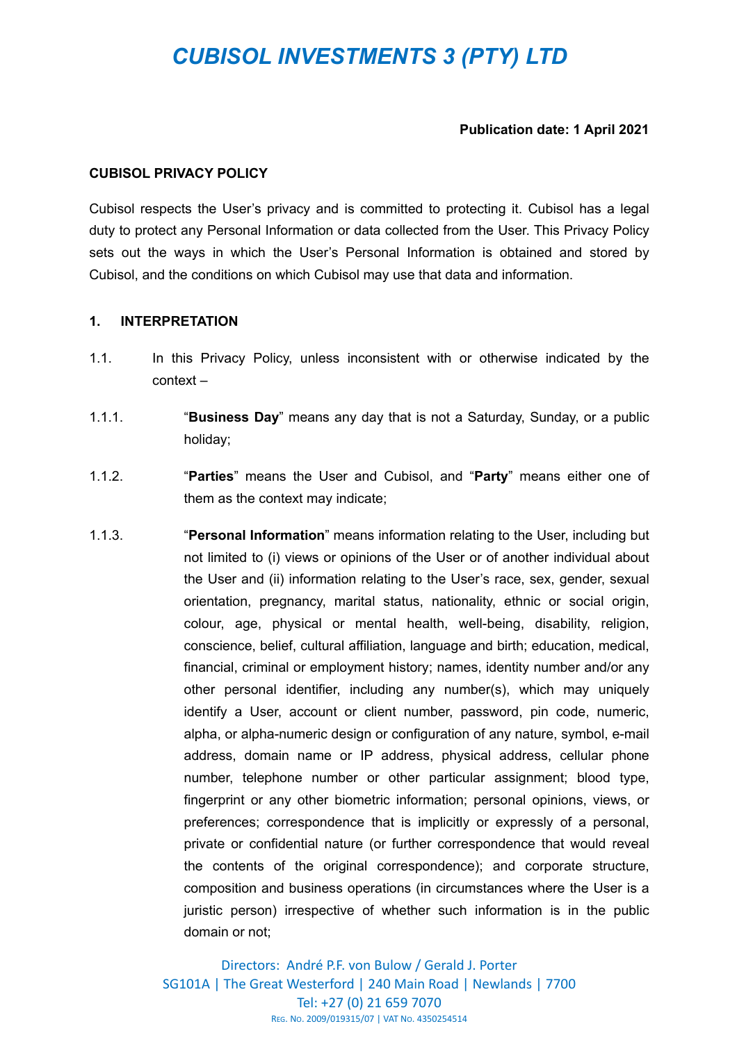# *CUBISOL INVESTMENTS 3 (PTY) LTD*

#### **Publication date: 1 April 2021**

#### **CUBISOL PRIVACY POLICY**

Cubisol respects the User's privacy and is committed to protecting it. Cubisol has a legal duty to protect any Personal Information or data collected from the User. This Privacy Policy sets out the ways in which the User's Personal Information is obtained and stored by Cubisol, and the conditions on which Cubisol may use that data and information.

## **1. INTERPRETATION**

- 1.1. In this Privacy Policy, unless inconsistent with or otherwise indicated by the context –
- 1.1.1. "**Business Day**" means any day that is not a Saturday, Sunday, or a public holiday;
- 1.1.2. "**Parties**" means the User and Cubisol, and "**Party**" means either one of them as the context may indicate;
- 1.1.3. "**Personal Information**" means information relating to the User, including but not limited to (i) views or opinions of the User or of another individual about the User and (ii) information relating to the User's race, sex, gender, sexual orientation, pregnancy, marital status, nationality, ethnic or social origin, colour, age, physical or mental health, well-being, disability, religion, conscience, belief, cultural affiliation, language and birth; education, medical, financial, criminal or employment history; names, identity number and/or any other personal identifier, including any number(s), which may uniquely identify a User, account or client number, password, pin code, numeric, alpha, or alpha-numeric design or configuration of any nature, symbol, e-mail address, domain name or IP address, physical address, cellular phone number, telephone number or other particular assignment; blood type, fingerprint or any other biometric information; personal opinions, views, or preferences; correspondence that is implicitly or expressly of a personal, private or confidential nature (or further correspondence that would reveal the contents of the original correspondence); and corporate structure, composition and business operations (in circumstances where the User is a juristic person) irrespective of whether such information is in the public domain or not;

Directors: André P.F. von Bulow / Gerald J. Porter SG101A | The Great Westerford | 240 Main Road | Newlands | 7700 Tel: +27 (0) 21 659 7070 REG. NO. 2009/019315/07 | VAT NO. 4350254514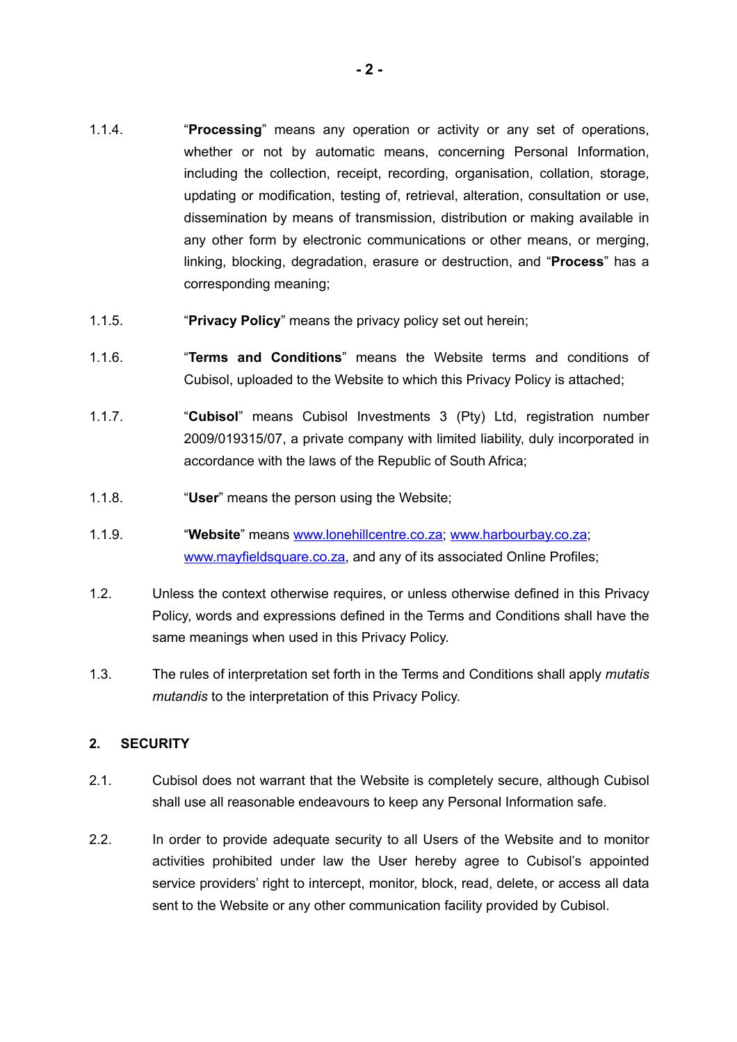- 1.1.4. "**Processing**" means any operation or activity or any set of operations, whether or not by automatic means, concerning Personal Information, including the collection, receipt, recording, organisation, collation, storage, updating or modification, testing of, retrieval, alteration, consultation or use, dissemination by means of transmission, distribution or making available in any other form by electronic communications or other means, or merging, linking, blocking, degradation, erasure or destruction, and "**Process**" has a corresponding meaning;
- 1.1.5. "**Privacy Policy**" means the privacy policy set out herein;
- 1.1.6. "**Terms and Conditions**" means the Website terms and conditions of Cubisol, uploaded to the Website to which this Privacy Policy is attached;
- 1.1.7. "**Cubisol**" means Cubisol Investments 3 (Pty) Ltd, registration number 2009/019315/07, a private company with limited liability, duly incorporated in accordance with the laws of the Republic of South Africa;
- 1.1.8. "**User**" means the person using the Website;
- 1.1.9. "**Website**" means [www.lonehillcentre.co.za](http://www.lonehillcentre.co.za); [www.harbourbay.co.za](http://www.harbourbay.co.za); [www.mayfieldsquare.co.za,](http://www.mayfieldsquare.co.za) and any of its associated Online Profiles;
- 1.2. Unless the context otherwise requires, or unless otherwise defined in this Privacy Policy, words and expressions defined in the Terms and Conditions shall have the same meanings when used in this Privacy Policy.
- 1.3. The rules of interpretation set forth in the Terms and Conditions shall apply *mutatis mutandis* to the interpretation of this Privacy Policy.

# **2. SECURITY**

- 2.1. Cubisol does not warrant that the Website is completely secure, although Cubisol shall use all reasonable endeavours to keep any Personal Information safe.
- 2.2. In order to provide adequate security to all Users of the Website and to monitor activities prohibited under law the User hereby agree to Cubisol's appointed service providers' right to intercept, monitor, block, read, delete, or access all data sent to the Website or any other communication facility provided by Cubisol.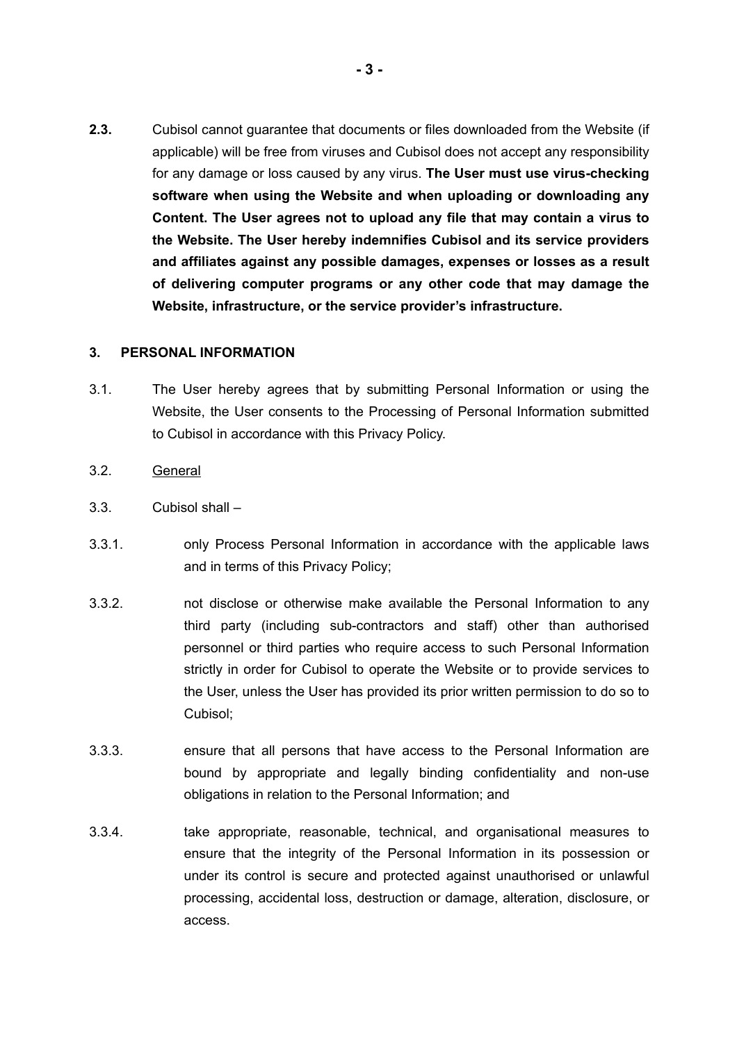**2.3.** Cubisol cannot guarantee that documents or files downloaded from the Website (if applicable) will be free from viruses and Cubisol does not accept any responsibility for any damage or loss caused by any virus. **The User must use virus-checking software when using the Website and when uploading or downloading any Content. The User agrees not to upload any file that may contain a virus to the Website. The User hereby indemnifies Cubisol and its service providers and affiliates against any possible damages, expenses or losses as a result of delivering computer programs or any other code that may damage the Website, infrastructure, or the service provider's infrastructure.** 

## **3. PERSONAL INFORMATION**

- 3.1. The User hereby agrees that by submitting Personal Information or using the Website, the User consents to the Processing of Personal Information submitted to Cubisol in accordance with this Privacy Policy.
- 3.2. General
- 3.3. Cubisol shall –
- 3.3.1. only Process Personal Information in accordance with the applicable laws and in terms of this Privacy Policy;
- 3.3.2. not disclose or otherwise make available the Personal Information to any third party (including sub-contractors and staff) other than authorised personnel or third parties who require access to such Personal Information strictly in order for Cubisol to operate the Website or to provide services to the User, unless the User has provided its prior written permission to do so to Cubisol;
- 3.3.3. ensure that all persons that have access to the Personal Information are bound by appropriate and legally binding confidentiality and non-use obligations in relation to the Personal Information; and
- 3.3.4. take appropriate, reasonable, technical, and organisational measures to ensure that the integrity of the Personal Information in its possession or under its control is secure and protected against unauthorised or unlawful processing, accidental loss, destruction or damage, alteration, disclosure, or access.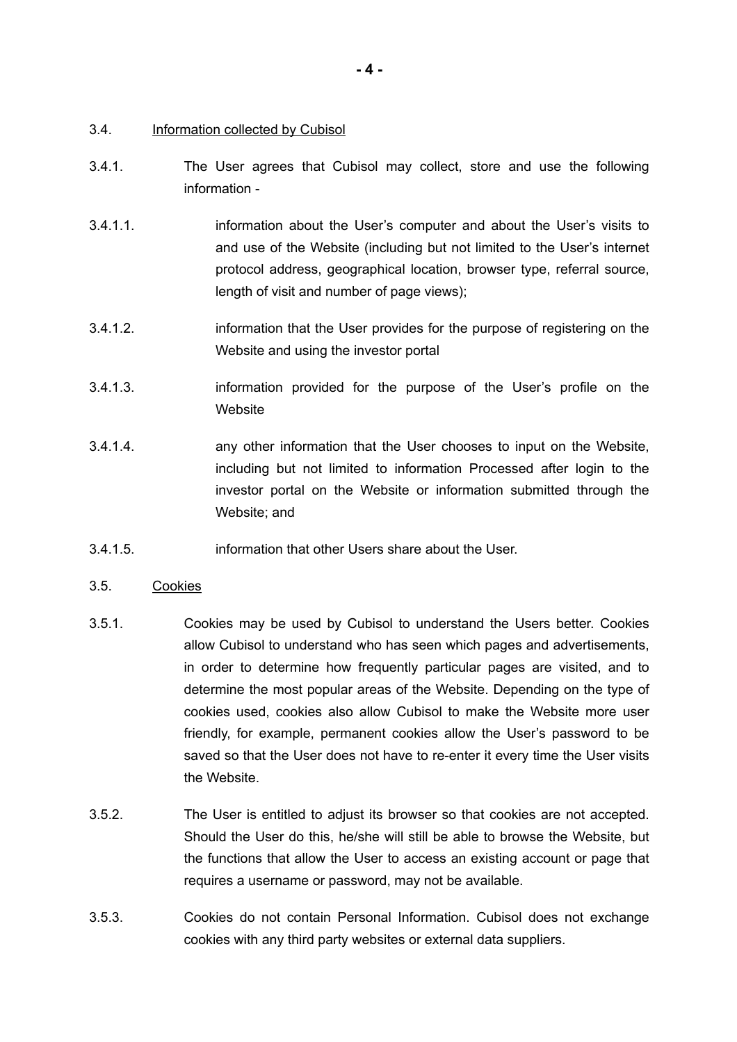#### 3.4. Information collected by Cubisol

- 3.4.1. The User agrees that Cubisol may collect, store and use the following information -
- 3.4.1.1. **information about the User's computer and about the User's visits to** and use of the Website (including but not limited to the User's internet protocol address, geographical location, browser type, referral source, length of visit and number of page views);
- 3.4.1.2. information that the User provides for the purpose of registering on the Website and using the investor portal
- 3.4.1.3. information provided for the purpose of the User's profile on the **Website**
- 3.4.1.4. any other information that the User chooses to input on the Website, including but not limited to information Processed after login to the investor portal on the Website or information submitted through the Website; and
- 3.4.1.5. information that other Users share about the User.

## 3.5. Cookies

- 3.5.1. Cookies may be used by Cubisol to understand the Users better. Cookies allow Cubisol to understand who has seen which pages and advertisements, in order to determine how frequently particular pages are visited, and to determine the most popular areas of the Website. Depending on the type of cookies used, cookies also allow Cubisol to make the Website more user friendly, for example, permanent cookies allow the User's password to be saved so that the User does not have to re-enter it every time the User visits the Website.
- 3.5.2. The User is entitled to adjust its browser so that cookies are not accepted. Should the User do this, he/she will still be able to browse the Website, but the functions that allow the User to access an existing account or page that requires a username or password, may not be available.
- 3.5.3. Cookies do not contain Personal Information. Cubisol does not exchange cookies with any third party websites or external data suppliers.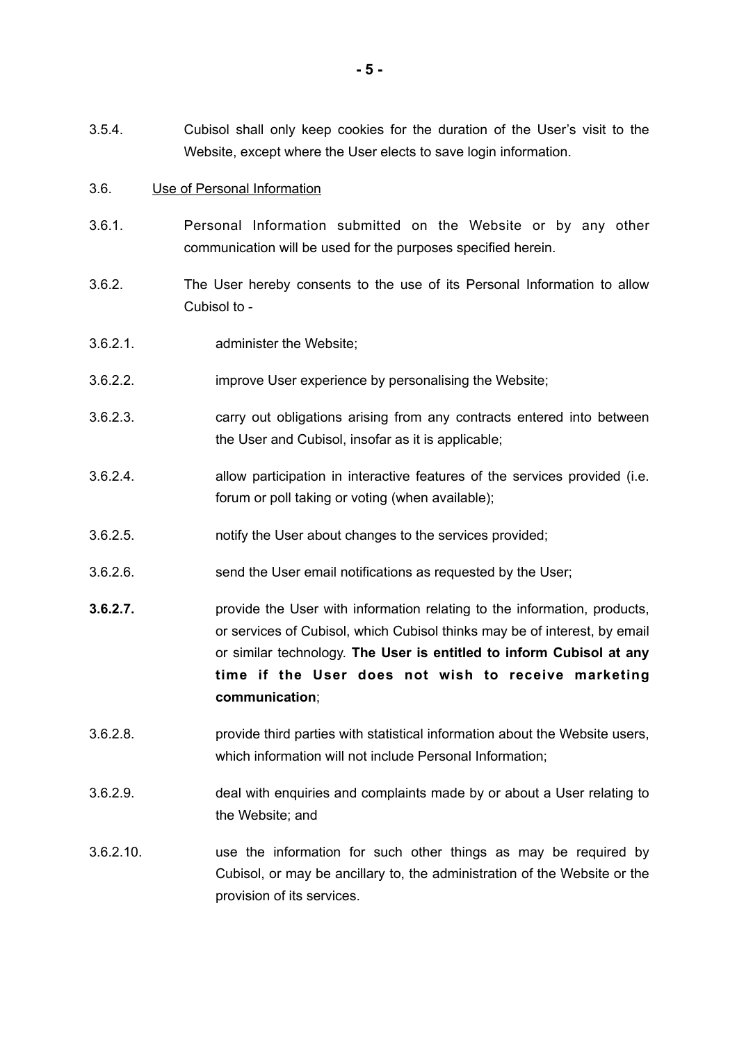3.5.4. Cubisol shall only keep cookies for the duration of the User's visit to the Website, except where the User elects to save login information.

#### 3.6. Use of Personal Information

- 3.6.1. Personal Information submitted on the Website or by any other communication will be used for the purposes specified herein.
- 3.6.2. The User hereby consents to the use of its Personal Information to allow Cubisol to -
- 3.6.2.1. administer the Website;
- 3.6.2.2. improve User experience by personalising the Website;
- 3.6.2.3. carry out obligations arising from any contracts entered into between the User and Cubisol, insofar as it is applicable;
- 3.6.2.4. allow participation in interactive features of the services provided (i.e. forum or poll taking or voting (when available);
- 3.6.2.5. notify the User about changes to the services provided;
- 3.6.2.6. send the User email notifications as requested by the User;
- **3.6.2.7.** provide the User with information relating to the information, products, or services of Cubisol, which Cubisol thinks may be of interest, by email or similar technology. **The User is entitled to inform Cubisol at any time if the User does not wish to receive marketing communication**;
- 3.6.2.8. provide third parties with statistical information about the Website users, which information will not include Personal Information;
- 3.6.2.9. deal with enquiries and complaints made by or about a User relating to the Website; and
- 3.6.2.10. use the information for such other things as may be required by Cubisol, or may be ancillary to, the administration of the Website or the provision of its services.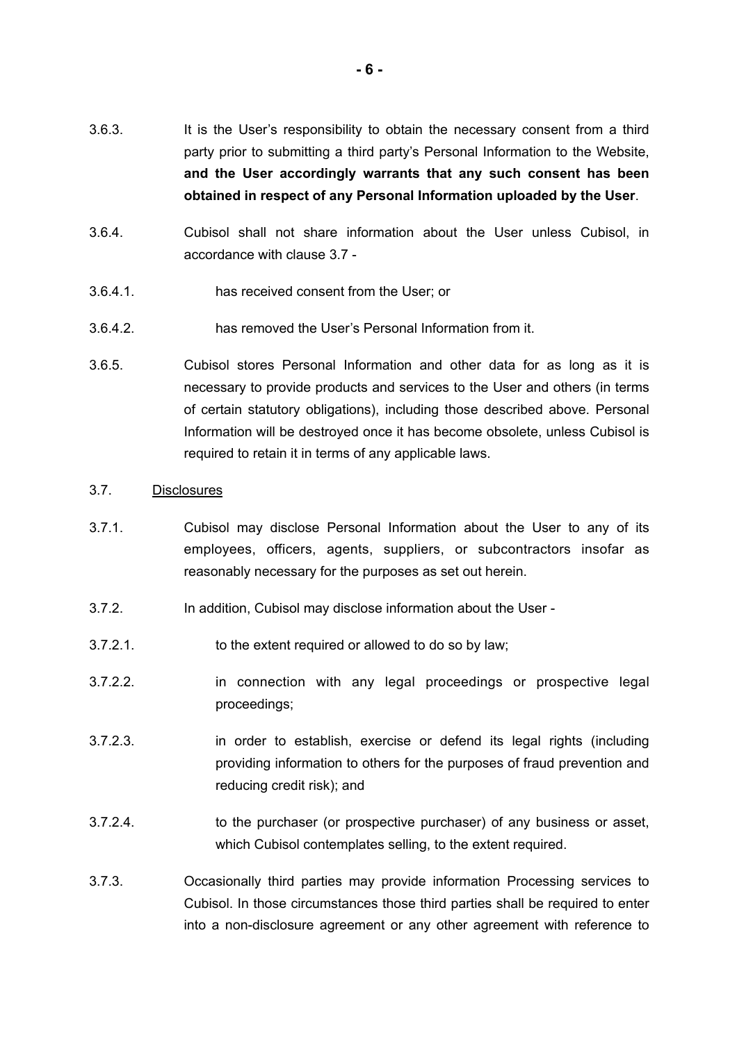- 3.6.3. It is the User's responsibility to obtain the necessary consent from a third party prior to submitting a third party's Personal Information to the Website, **and the User accordingly warrants that any such consent has been obtained in respect of any Personal Information uploaded by the User**.
- 3.6.4. Cubisol shall not share information about the User unless Cubisol, in accordance with clause [3.7](#page-5-0) -
- 3.6.4.1. has received consent from the User; or
- 3.6.4.2. has removed the User's Personal Information from it.
- 3.6.5. Cubisol stores Personal Information and other data for as long as it is necessary to provide products and services to the User and others (in terms of certain statutory obligations), including those described above. Personal Information will be destroyed once it has become obsolete, unless Cubisol is required to retain it in terms of any applicable laws.
- <span id="page-5-0"></span>3.7. Disclosures
- 3.7.1. Cubisol may disclose Personal Information about the User to any of its employees, officers, agents, suppliers, or subcontractors insofar as reasonably necessary for the purposes as set out herein.
- 3.7.2. In addition, Cubisol may disclose information about the User -
- 3.7.2.1. to the extent required or allowed to do so by law;
- 3.7.2.2. in connection with any legal proceedings or prospective legal proceedings;
- 3.7.2.3. in order to establish, exercise or defend its legal rights (including providing information to others for the purposes of fraud prevention and reducing credit risk); and
- 3.7.2.4. to the purchaser (or prospective purchaser) of any business or asset, which Cubisol contemplates selling, to the extent required.
- 3.7.3. Occasionally third parties may provide information Processing services to Cubisol. In those circumstances those third parties shall be required to enter into a non-disclosure agreement or any other agreement with reference to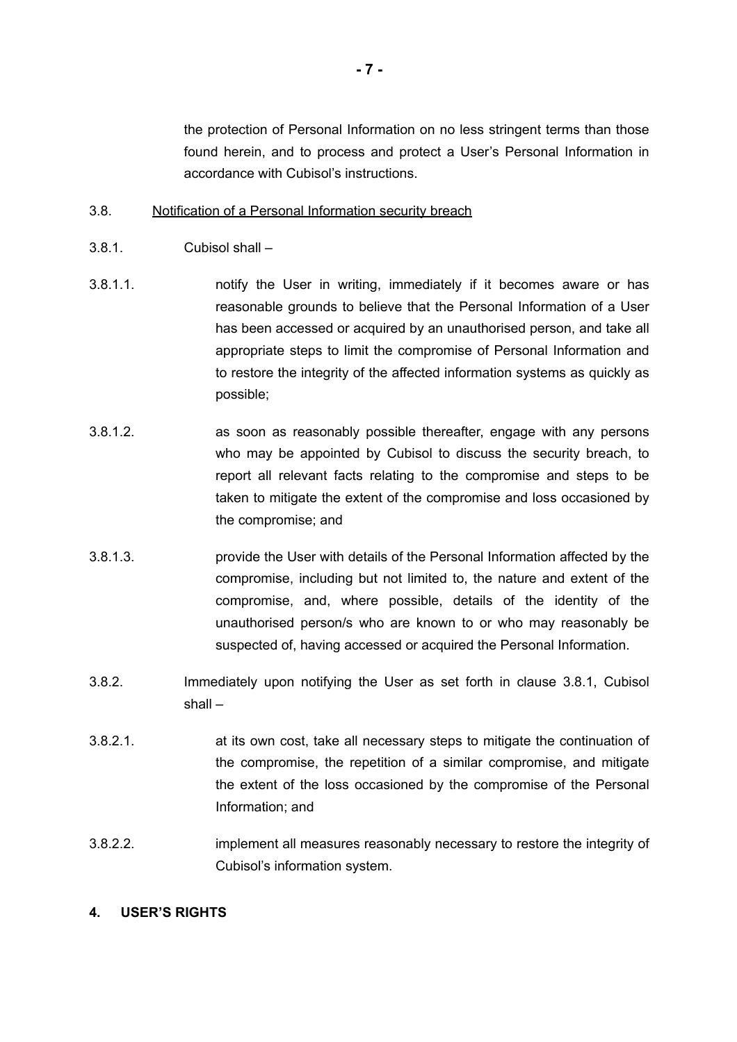the protection of Personal Information on no less stringent terms than those found herein, and to process and protect a User's Personal Information in accordance with Cubisol's instructions.

## 3.8. Notification of a Personal Information security breach

- <span id="page-6-0"></span>3.8.1. Cubisol shall –
- 3.8.1.1. notify the User in writing, immediately if it becomes aware or has reasonable grounds to believe that the Personal Information of a User has been accessed or acquired by an unauthorised person, and take all appropriate steps to limit the compromise of Personal Information and to restore the integrity of the affected information systems as quickly as possible;
- 3.8.1.2. as soon as reasonably possible thereafter, engage with any persons who may be appointed by Cubisol to discuss the security breach, to report all relevant facts relating to the compromise and steps to be taken to mitigate the extent of the compromise and loss occasioned by the compromise; and
- 3.8.1.3. provide the User with details of the Personal Information affected by the compromise, including but not limited to, the nature and extent of the compromise, and, where possible, details of the identity of the unauthorised person/s who are known to or who may reasonably be suspected of, having accessed or acquired the Personal Information.
- 3.8.2. Immediately upon notifying the User as set forth in clause [3.8.1](#page-6-0), Cubisol shall –
- 3.8.2.1. at its own cost, take all necessary steps to mitigate the continuation of the compromise, the repetition of a similar compromise, and mitigate the extent of the loss occasioned by the compromise of the Personal Information; and
- 3.8.2.2. implement all measures reasonably necessary to restore the integrity of Cubisol's information system.

## **4. USER'S RIGHTS**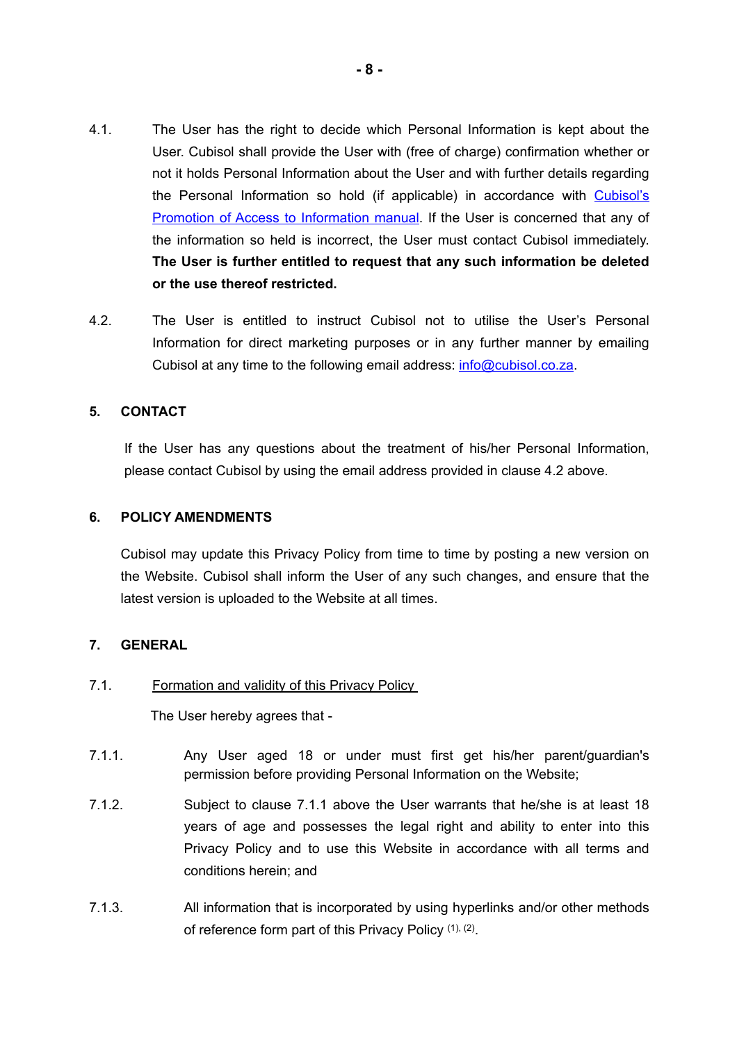- 4.1. The User has the right to decide which Personal Information is kept about the User. Cubisol shall provide the User with (free of charge) confirmation whether or not it holds Personal Information about the User and with further details regarding the Personal Information so hold (if applicable) in accordance with [Cubisol's](http://www.mayfieldsquare.co.za/PAIAManualCubisolInvestments3PtyLtd.pdf) [Promotion of Access to Information manual](http://www.mayfieldsquare.co.za/PAIAManualCubisolInvestments3PtyLtd.pdf). If the User is concerned that any of the information so held is incorrect, the User must contact Cubisol immediately. **The User is further entitled to request that any such information be deleted or the use thereof restricted.**
- <span id="page-7-0"></span>4.2. The User is entitled to instruct Cubisol not to utilise the User's Personal Information for direct marketing purposes or in any further manner by emailing Cubisol at any time to the following email address: [info@cubisol.co.za](mailto:info@cubisol.co.za).

## **5. CONTACT**

If the User has any questions about the treatment of his/her Personal Information, please contact Cubisol by using the email address provided in clause [4.2](#page-7-0) above.

## **6. POLICY AMENDMENTS**

Cubisol may update this Privacy Policy from time to time by posting a new version on the Website. Cubisol shall inform the User of any such changes, and ensure that the latest version is uploaded to the Website at all times.

## **7. GENERAL**

## 7.1. Formation and validity of this Privacy Policy

<span id="page-7-1"></span>The User hereby agrees that -

- 7.1.1. Any User aged 18 or under must first get his/her parent/guardian's permission before providing Personal Information on the Website;
- 7.1.2. Subject to clause [7.1.1](#page-7-1) above the User warrants that he/she is at least 18 years of age and possesses the legal right and ability to enter into this Privacy Policy and to use this Website in accordance with all terms and conditions herein; and
- 7.1.3. All information that is incorporated by using hyperlinks and/or other methods of reference form part of this Privacy Policy (1), (2).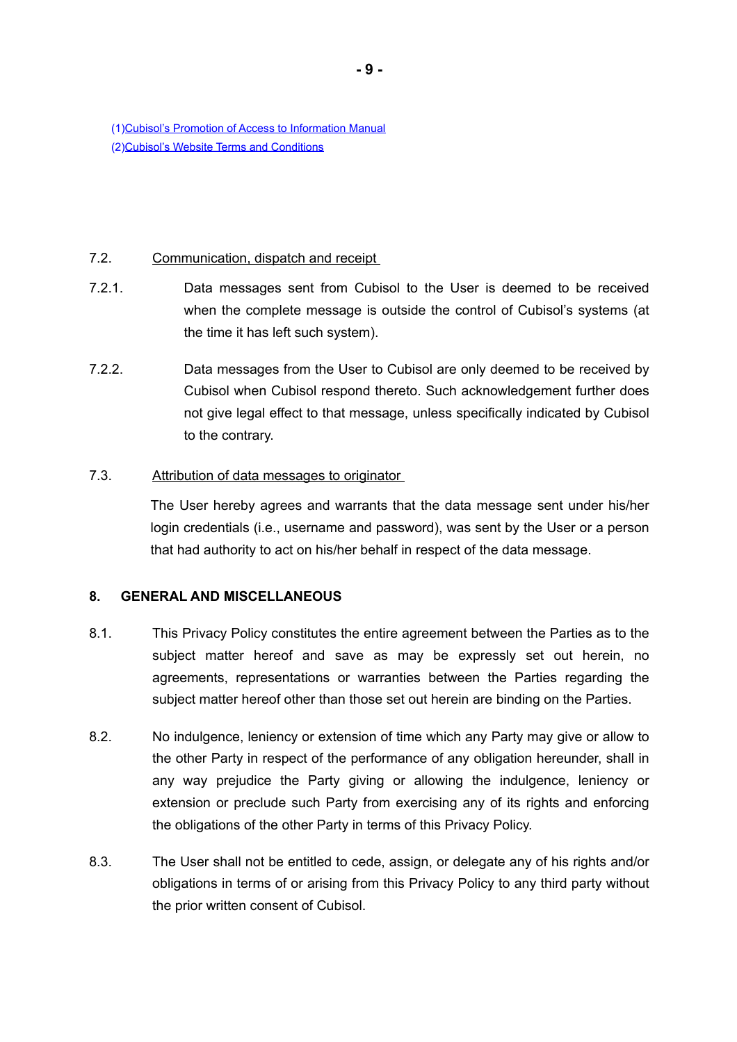(1)[Cubisol's Promotion of Access to Information Manual](http://www.mayfieldsquare.co.za/PAIAManualCubisolInvestments3PtyLtd.pdf) (2)[Cubisol's Website Terms and Conditions](http://www.mayfieldsquare.co.za/CubisolInv3WebsiteTermsandConditionsFinal.pdf)

### 7.2. Communication, dispatch and receipt

- 7.2.1. Data messages sent from Cubisol to the User is deemed to be received when the complete message is outside the control of Cubisol's systems (at the time it has left such system).
- 7.2.2. Data messages from the User to Cubisol are only deemed to be received by Cubisol when Cubisol respond thereto. Such acknowledgement further does not give legal effect to that message, unless specifically indicated by Cubisol to the contrary.

## 7.3. Attribution of data messages to originator

The User hereby agrees and warrants that the data message sent under his/her login credentials (i.e., username and password), was sent by the User or a person that had authority to act on his/her behalf in respect of the data message.

## **8. GENERAL AND MISCELLANEOUS**

- 8.1. This Privacy Policy constitutes the entire agreement between the Parties as to the subject matter hereof and save as may be expressly set out herein, no agreements, representations or warranties between the Parties regarding the subject matter hereof other than those set out herein are binding on the Parties.
- 8.2. No indulgence, leniency or extension of time which any Party may give or allow to the other Party in respect of the performance of any obligation hereunder, shall in any way prejudice the Party giving or allowing the indulgence, leniency or extension or preclude such Party from exercising any of its rights and enforcing the obligations of the other Party in terms of this Privacy Policy.
- 8.3. The User shall not be entitled to cede, assign, or delegate any of his rights and/or obligations in terms of or arising from this Privacy Policy to any third party without the prior written consent of Cubisol.